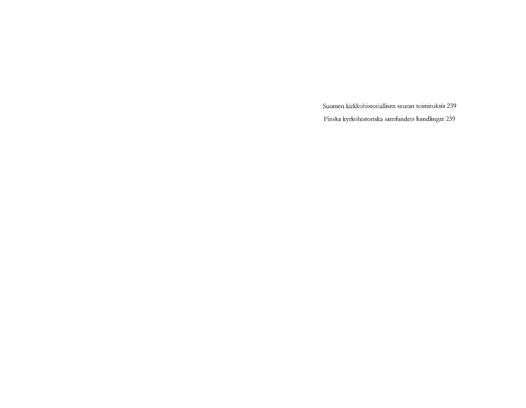Suomen kirkkohistoriallisen seuran toimituksia 239 Finska kyrkohistoriska samfiindets handlingar 239

 $\mathcal{L}^{\mathcal{L}}(\mathcal{F}^{\mathcal{L}}(\mathcal{F}))$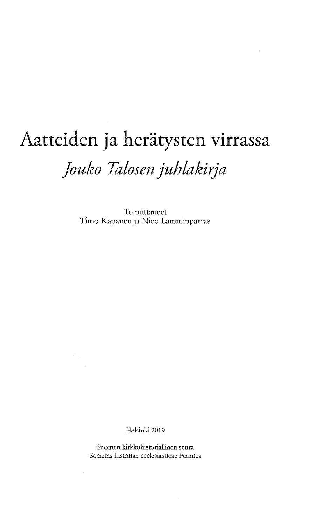# Aatteiden ja herätysten virrassa *Jouko Talosenjuhlakirja*

Toimittaneet Timo Kapanen ja Nico Lamminpartas

Helsinki 2019

Suomen kirkkohistoriallinen seura Societas historiae ecclesiasticae Fennica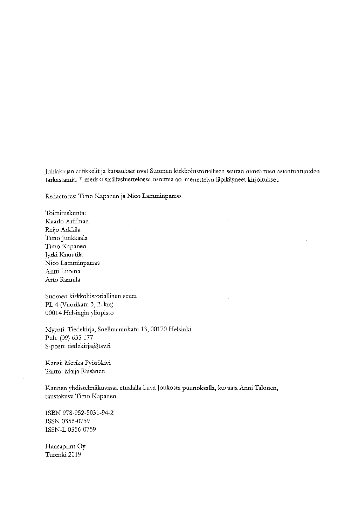Juhlakirjan artikkelit ja katsaukset ovat Suomen kirkkohistoriallisen seuran nimeämien asiantuntijoiden tarkastamia. \*-merkki sisällysluettelossa osoittaa ao. menettelyn läpikäyneet kirjoitukset.

Redactores: Timo Kapanen ja Nico Lamminparras

Toimituskunta: Kaarlo Arffman Reijo Arkkila Timo Junkkaala Timo Kapanen Jyrki Knuutila Nico Lamminparras Antti Luoma Arto Rannila

Suomen kirkkoliistoriallinen seura PL 4 (Vuorikatu 3, 2. krs) 00014 Helsingin yliopisto

Myynti: Tiedekirja, Snellmaninkatu 13, 00170 Helsinki Puh. (09) 635 177 S-posti: [tiedekirja@tsv.fi](mailto:tiedekirja@tsv.fi)

Kansi: Merika Pyörökivi Taitto: Maija Räisänen

Kannen yhdistelmäkuvassa etualalla kuva Joukosta puunoksalla, kuvaaja Anni Talonen, taustakuva Timo Kapanen.

ISBN 978-952-5031-94-2 ISSN 0356-0759 ISSN-L 0356-0759

Hansapiint Oy Turenki 2019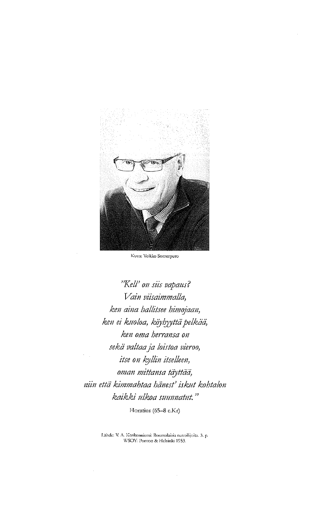

Kuva: Veikko Somerpuro

*"Keil' on siis vapaus? Vain viisaimmalla, ken aina hallitsee himojaan, ken ei kuoloa, köyhyyttäpelkää, ken oma berransa on sekä valtaaja loistoa vieroo, itse on kyllin itselleen, oman mittansa täyttää, niin että kimmabtaa honest' iskut kohtalon kaikki ulkoa suunnatut. "*

Horatius (65-8 e.Kr)

Lahde: V. A. Koskenniemi: Roomalaisia runoilijoita. 3. p. WSOY: Porvoo & Helsinki 1953.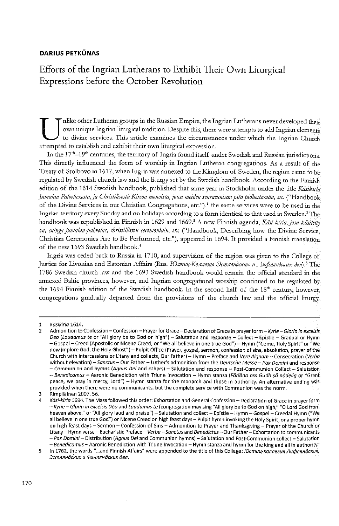#### **DARIUS PETKÜNAS**

# Efforts of the Ingrian Lutherans to Exhibit Their Own Liturgical Expressions before the October Revolution

 $\bigcup_{\text{attempte}\atop{\text{In the}}}$ nlike other Lutheran groups in the Russian Empire, the Ingrian Lutherans never developed their own unique Ingrian liturgical tradition. Despite this, there were attempts to add Ingrian elements to divine services. This article examines the circumstances under which the Ingrian Church d to establish and exhibit their own liturgical expression.

In the  $17<sup>th</sup>$ -19<sup>th</sup> centuries, the territory of Ingria found itself under Swedish and Russian jurisdictions. This directly influenced the form of worship in Ingrian Lutheran congregations. As a result of the Treaty of Stolbovo in 1617, when Ingriawas annexed to the Kingdom of Sweden, die region came to be regulated by Swedish church law and the liturgy set by the Swedish handbook. According to the Finnish edition of the 1614 Swedish handbook, published that same year in Stockholm under the title *Kiisikiria Jutnalan 'Palveluxesta,ja ChristilisestäKircon menoista,jotca meiden seuracnnisanpitäpidbettämän, etc.* ("Handbook of the Divine Services in our Christian Congregations, etc."),<sup>[1](#page-5-0)</sup> the same services were to be used in the Ingrian territory every Sunday and on holidays according to a form identical to that used in Sweden.<sup>[2](#page-5-1)</sup> The handbook was republished in Finnish in 1629 and 1669? A new Finnish agenda, *Käsi-kiria, josa kdsitetty on, cuingajumalan-pahvelus, cbristillisten ceremoniain, etc.* ("Handbook, Describing how the Divine Service, Christian Ceremonies Are to Be Performed, etc."), appeared in 1694. It provided a Finnish translation of the new 1693 Swedish handbook?

Ingria was ceded back to Russia in 1710, and supervision of the region was given to die College of Justice for Livonian and Estonian Affairs (Rus. *Юстиц-Коллегия Эстляндских и Дифляндских дел*).<sup>[5](#page-5-2)</sup> The 1786 Swedish church law and the 1693 Swedish handbook would remain the official standard in the annexed Baltic provinces, however, and Ingrian congregational worship continued to be regulated by the 1694 Finnish edition of the Swedish handbook. In the second half of the 18<sup>th</sup> century, however, congregations gradually departed from the provisions of die church law and die official liturgy,

<span id="page-5-2"></span>5 In 1762, the words "...and Finnish Affairs" were appended to the title of this College: *fOcmug-xonnesun tlupnxHdcKUX, BcmarmdcHux u (PuHnnHdcHux den.*

<span id="page-5-0"></span><sup>1</sup> *Käsikiria* 1614.

<span id="page-5-1"></span><sup>2</sup> Admonition to Confession -Confession - Prayerfor Grace -Declaration ofGrace in prayerform -*Kyrie -Gloria in excelsis Deo (Laudamus te* or "All glory be to God on high") - Salutation and response - Collect - Epistle - Gradual or Hymn -Gospel - Creed (Apostolic or Nicene Creed, or "We all believe in one true God") - Hymn ("Come, Holy Spirit" or "We now implore God, the Holy Ghost") - Pulpit Office (Prayer, gospel, sermon, confession of sins, absolution, prayer ofthe Church with intercessions or Litany and collects, Our Father) - Hymn - Preface and *Vere dignum -* Consecration *(.Verba* without elevation) *-Sanctus-* Our Father- Luther's admonition from the *Deutsche Messe - Pax Domini* and response - Communion and hymns *(Agnus Dei* and others) - Salutation and response - Post-Communion Collect - Salutation *- Benedicamus -* Aaronic Benediction with Triune Invocation - Hymn stanza *(Förläna oss Gudh sä nadelig* or "Grant peace, we pray in mercy, Lord") - Hymn stanza for the monarch and those in authority. An alternative ending was provided when there were no communicants, but the complete service with Communion wasthe norm. 3 Rimpiläinen 2007, 56.

Käsi-kiria 1694. The Mass followed this order: Exhortation and General Confession - Declaration of Grace in prayer form *- Kyrie - Gloria in excelsis Deo* and *Laudamus te* (congregation may sing "All glory be to God on high," "0 Lord God from heaven above," or "All glory laud and praise") - Salutation and collect - Epistle - Hymn -Gospel - Creedal Hymn ("We all believe in one true God") or Nicene Creed on high feast days - Pulpit hymn invoking the Holy Spirit, or a proper hymn on high feast days - Sermon - Confession of Sins - Admonition to Prayer and Thanksgiving - Prayer of the Church or Litany -Hymn verse - Eucharistic Preface- *Verba-Sanctus* and *Benedictus*-Our Father- Exhortation to communicants - Pox Dornin/-Distribution *(Agnus Dei* and Communion hymns)-Salutation and Post-Communion collect-Salutation *-Benedicamus-* Aaronic Benediction with Triune Invocation - Hymn stanza and hymn for the king and all in authority.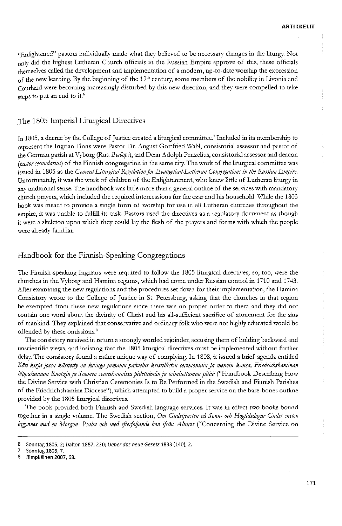"Enlightened" pastors individually made what they believed to be necessary changes in the liturgy. Not only did the highest Lutheran Church officials in the Russian Empire approve of this, these officials themselves called the development and implementation of a modern, up-to-date worship the expression of the new learning. By the beginning of the  $19<sup>th</sup>$  century, some members of the nobility in Livonia and Courland were becoming increasingly disturbed by this new direction, and they were compelled to take steps to put an end to it.<sup>[6](#page-6-0)</sup>

#### The 1805 Imperial Liturgical Directives

In 1805, a decree by the College of Justice created a liturgical committee.<sup>[7](#page-6-1)</sup> Included in its membership to represent the Ingrian Finns were Pastor Dr. August Gottfried Wahl, consistorial assessor and pastor of the German parish at Vyborg (Rus. *Bubopa*), and Dean Adolph Penzelius, consistorial assessor and deacon *(pastorsecundarius)* of die Finnish congregation in die same city. The work of die liturgical committee was issued in <sup>1805</sup> as the *GeneralLiturgical 'RegulationforEvangelical-Lutheran Congregations in the Russian Empire.* Unfortunately, itwas die work of children of the Enlightenment, who knew litde of Ludieran liturgy in any traditional sense. The handbook was litde more than a general outline of die services widi mandatory church prayers, which included die required intercessions for die czar and his household. While die 1805 book was meant to provide a single form of worship for use in all Lutheran churches throughout the empire, it was unable to fulfill its task. Pastors used die directives as a regulatory document as though it were a skeleton upon which they could lay the flesh of the prayers and forms with which the people were already familiar.

#### Handbook for the Finnish-Speaking Congregations

The Finnish-speaking Ingrians were required to follow die 1805 liturgical directives; so, too, were the churches in the Vyborg and Hamina regions, which had come under Russian control in 1710 and 1743. After examining the new regulations and the procedures set down for their implementation, the Hamina Consistory wrote to die College of Justice in St. Petersburg, asking that die churches in diat region be exempted from these new regulations since there was no proper order to them and they did not contain one word about die divinity of Christ and his all-sufficient sacrifice of atonement for die sins of mankind. They explained diat conservative and ordinary folkwho were not highly educated would be offended by these omissions.<sup>[8](#page-6-2)</sup>

The consistory received in return a stronglyworded rejoinder, accusing diem of holding backward and unscientific views, and insisting that the 1805 liturgical directives must be implemented without further delay. The consistory found a rather unique way of complying. In 1808, it issued a brief agenda entitled *Käsi-kirjajossa kdsitetty on kuingajumalan-palwelus kristillisten ceremoniainja menoin kansa, Friedrichshaminan hippakunnan Ruotsjnja Suomen seurakunnissapidettämänja toimitettamanpitää* ("Handbook Describing How the Divine Service widi Christian Ceremonies Is to Be Performed in die Swedish and Finnish Parishes of the Friedrichshamina Diocese"), which attempted to build a proper service on the bare-bones outline provided by die 1805 liturgical directives.

The book provided bodi Finnish and Swedish language services. It was in effect two books bound togetiier in a single volume. The Swedish section, *Om Gudstjensten vä Sonn- och Hogtidsdagar Gudst ensten begynnes med en Morgan- Psalm och med efterfoljande bon ifrän Altaret* ("Concerning die Divine Service on

<span id="page-6-0"></span><sup>6</sup> Sonntag 1805, 2; Dalton 1887, 220; *Ueberdas neue Gesetz* 1833 (140), 2.

<span id="page-6-1"></span><sup>7</sup> Sonntag 1805, 7.

<span id="page-6-2"></span><sup>8</sup> Rimpiläinen 2007, 68.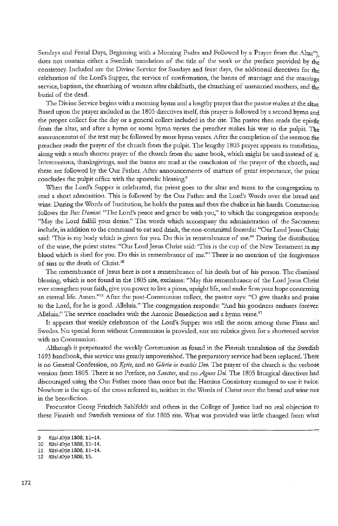Sundays and Festal Days, Beginning with a Morning Psalm and Followed by a Prayer from the Altar"). does not contain either a Swedish translation of the title of the work or the preface provided by the consistory. Included are the Divine Service for Sundays and feast days, the additional directives for the celebration of the Lord's Supper, the service of confirmation, the banns of marriage and the marriage service, baptism, the churching of women after childbirth, the churching of unmarried mothers, and the burial of die dead.

The Divine Service begins widi a morning hymn and a lengthy prayer that die pastormakes at die altar. Based upon die prayerincluded in die 1805 directives itself, diis prayer is followed by a second hymn and the proper collect for the day or a general collect included in the rite. The pastor then reads the epistie from the altar, and after a hymn or some hymn verses die preacher makes liis way to the pulpit. The announcement of die text may be followed bymore hymn verses. After die completion of die sermon the preacher reads the prayer of the church from die pulpit. The lengdiy 1805 prayer appears in translation, alongwidi a much shorter prayer of the church from die same book, which might be used instead of it. Intercessions, thanksgivings, and die banns are read at the conclusion of the prayer of die church, and these are followed by the Our Father. After announcements of matters of great importance, the priest concludes the pulpit office with the apostolic blessing.<sup>[9](#page-7-0)</sup>

When the Lord's Supper is celebrated, the priest goes to the altar and turns to the congregation to read a short admonition. This is followed by the Our Father and the Lord's Words over the bread and wine. During die Words of Institution, he holds die paten and dien die chalice in liis hands. Communion follows the *Pax Domini:* "The Lord's peace and grace be with you," to which the congregation responds: "May the Lord fulfill your desire." The words which accompany die administration of die Sacrament include, in addition to the command to eat and drink, the non-committal formula: "Our Lord Jesus Christ said: 'This is my body which is given for you. Do this in remembrance of me.'" During the distribution of die wine, die priest states: "Our Lord Jesus Christ said: 'This is die cup of the New Testamentin my blood which is shed for you. Do this in remembrance of me." There is no mention of the forgiveness of sins or die death of Christ.[10](#page-7-1)

The remembrance of Jesus here is not a remembrance of his death but of his person. The dismissal blessing, which is not found in die 1805 rite, exclaims: "May diis remembrance of the Lord Jesus Christ ever strengthen your faith, give you power to live a pious, upright life, and make firm your hope concerning an eternal life. Amen."<sup>[11](#page-7-2)</sup> After the post-Communion collect, the pastor says: "O give thanks and praise to die Lord, for he is good. Alleluia." The congregation responds: "And liis goodness endures forever. Alleluia." The service concludes with the Aaronic Benediction and a hymn verse.<sup>[12](#page-7-3)</sup>

It appears that weekly celebration of the Lord's Supper was still the norm among these Finns and Swedes. No special formwithout Communion is provided, nor are rubrics given for a shortened service with no Communion.

Although it perpetuated the weekly Communion as found in the Finnish translation of the Swedish 1693 handbook, this servicewas greatiy impoverished. The preparatory service had been replaced. There is no General Confession, no *Kyrie,* and no *Gloria in exce/sis Deo.* The prayer of die church is die verbose version from 1805. There is no Preface, no *Sanctus,* and no *Agnus Dei.* The 1805 liturgical directives had discouraged using the Our Father more than once but the Hamina Consistory managed to use it twice. Nowhere is the sign of die cross referred to, neither in die Words of Christ over die bread and wine not in the benediction.

Procurator Georg Friedrich Sahlfeldt and others in the College of Justice had no real objection to these Finnish and Swedish versions of the 1805 rite. What was provided was littie changed from what

<span id="page-7-0"></span><sup>9</sup> *Käsi-Kirja* 1808,11-14.

<span id="page-7-1"></span><sup>10</sup> *Käsi-Kirja* 1808,11-14.

<span id="page-7-2"></span><sup>11</sup> *Käsi-Kirja* 1808,11-14.

<span id="page-7-3"></span><sup>12</sup> *Käsi-Kirja* 1808,15.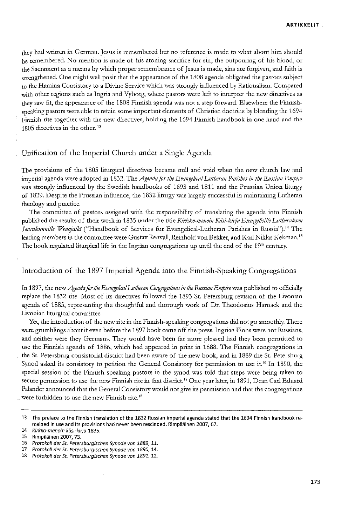they had written in German. Jesus is remembered but no reference is made to what about him should be remembered. No mention is made of liis atoning sacrifice for sin, die outpouring of liis blood, or the Sacrament as a means by which proper remembrance of Jesus is made, sins are forgiven, and faith is strengthened. One might well posit that the appearance of the 1808 agenda obligated the pastors subject to die Hamina Consistory to a Divine Service which was strongly influenced by Rationalism. Compared with other regions such as Ingria and Vyborg, where pastors were left to interpret the new directives as they saw fit, the appearance of the 1808 Finnish agenda was not a step forward. Elsewhere the Finnishspeaking pastors were able to retain some important elements of Christian doctrine by blending the 1694 Finnish rite together widi die new directives, holding die 1694 Finnish handbook in one hand and die 1805 directives in the other.<sup>[13](#page-8-0)</sup>

#### Unification of the Imperial Church under a Single Agenda

The provisions of die 1805 liturgical directives became null and void when die new church law and imperial agenda were adopted in 1832. The Agenda for the Evangelical Lutheran Parishes in the Russian Empire was strongly influenced by die Swedish handbooks of 1693 and 1811 and die Prussian Union liturgy of 1829. Despite die Prussian influence, die 1832 liturgy was largely successful in maintaining Ludieran theology and practice.

The committee of pastors assigned with the responsibility of translating the agenda into Finnish published die results of theirwork in 1835 under die tide *Kirkko-menoin IQisi-k.irja EvangelisilleEutbemksen* Seurakunnille *Wenäjällä* ("Handbook of Services for Evangelical-Lutheran Parishes in Russia").<sup>[14](#page-8-1)</sup> The leading members in the committee were Gustav Renvall, Reinhold von Bekker, and Karl Niklas Kekman.<sup>15</sup> The book regulated liturgical life in the Ingrian congregations up until the end of the 19<sup>th</sup> century.

## Introduction of the 1897 Imperial Agenda into the Finnish-Speaking Congregations

In 1897, die new*AgendafortbeEvangelicalEutberan Congregationsin the RussianEmpirewts* published to officially replace die 1832 rite. Most of its directives followed die 1893 St. Petersburg revision of the Livonian agenda of 1885, representing the thoughtful and thorough work of Dr. Theodosius Harnack and die Livonian liturgical committee.

Yet, the introduction of the new rite in the Finnish-speaking congregations did not go smoothly. There were grumblings about it even before the 1897 book came off the press. Ingrian Finns were not Russians, and neither were they Germans. They would have been far more pleased had they been permitted to use die Finnish agenda of 1886, which had appeared in print in 1888. The Finnish congregations in the St. Petersburg consistorial district had been aware of die new book, and in 1889 die St. Petersburg Synod asked its consistory to petition the General Consistory for permission to use it.<sup>[16](#page-8-2)</sup> In 1890, the special session of the Finnish-speaking pastors in the synod was told that steps were being taken to secure permission to use the new Finnish rite in that district.<sup>[17](#page-8-3)</sup> One year later, in 1891, Dean Carl Eduard Palander announced that the General Consistory would not give its permission and that the congregations were forbidden to use the new Finnish rite.<sup>[13](#page-8-0)</sup>

<span id="page-8-0"></span><sup>13</sup> The preface to the Finnish translation of the 1832 Russian imperial agenda stated that the 1694 Finnish handbook remained in use and its provisions had never been rescinded. Rimpiläinen 2007, 67.

<span id="page-8-1"></span><sup>14</sup> *Kirkko-menoin käsi-kirja* 1835.

<sup>15</sup> Rimpiläinen 2007, 73.

<span id="page-8-2"></span><sup>16</sup> *Protokoll der St. Petersburgischen Synode von 1889,*11.

<span id="page-8-3"></span><sup>17</sup> *Protokoll der St. Petersburgischen Synode von 1890,*14.

<sup>18</sup> *Protokoll der St. Petersburgischen Synode von 1891,*12.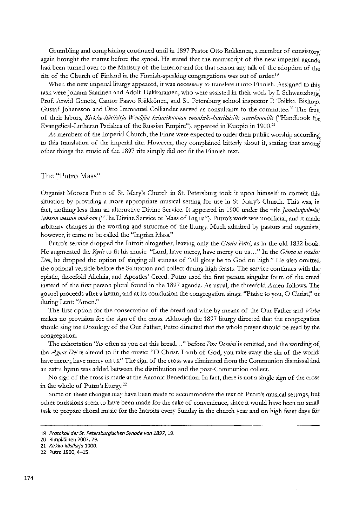Grumbling and complaining continued until in 1897 Pastor Otto Rokkanen, a member of consistory, again brought the matter before the synod. He stated that the manuscript of the new imperial agenda had been turned over to the Ministry of the Interior and for that reason any talk of the adoption of the rite of the Church of Finland in the Finnish-speaking congregations was out of order.<sup>[19](#page-9-0)</sup>

When the new imperial liturgy appeared, it was necessary to translate it into Finnish. Assigned to this task were Johann Saarinen and Adolf Hakkarainen, who were assisted in their work by1. Schwartzberg, Prof. Arwid Genetz, Cantor Paavo Räikkönen, and St. Petersburg school inspector P. Toikka. Bishops Gustaf Johansson and Otto Immanuel Colliander served as consultants to die committee.[20](#page-9-1) The fruit of their labors, *Kirk.ko-kasikirja Wenäjän keisarikunnan eivankelisriuterilaisille seurakunnille* ("Handbook for Evangelical-Lutheran Parishes of the Russian Empire"), appeared in Kuopio in 1900.<sup>[21](#page-9-2)</sup>

As members of the Imperial Church, the Finns were expected to order their public worship according to this translation of the imperial rite. However, they complained bitterly about it, stating that among other things the music of the 1897 rite simply did not fit the Finnish text.

#### The "Putro Mass"

Organist Mooses Putro of St. Mary's Church in St. Petersburg took it upon himself to correct thi<sup>s</sup> situation by providing a more appropriate musical setting for use in St. Mary's Church. This was, in fact, nothing less than an alternative Divine Service. It appeared in 1900 under the title *Jumalanpalvelus Inkerin messtinmukaan* ("The Divine Service or Mass of Ingria"). Putro's work was unofficial, and itmade arbitrary changes in the wording and structure of the liturgy. Much admired by pastors and organists, however, it came to be called the "Ingrian Mass."

Putro's service dropped die Introit altogether, leaving only the *Gloria Patri,* as in die old 1832 book. He augmented the *Kyrie* to fit his music: "Lord, have mercy, have mercy on us..." In the *Gloria in excelsis Deo,* he dropped die option of singing all stanzas of "All glory be to God on high." He also omitted the optional versicle before the Salutation and collect during high feasts. The service continues with the epistie, threefold Alleluia, and Aposties' Creed. Putro used die first person singular form of die creed instead of the first person plural found in the 1897 agenda. As usual, the threefold Amen follows. The gospel proceeds after a hymn, and at its conclusion die congregation shigs: "Praise to you, O Christ," or during Lent: "Amen."

The first option for die consecration of die bread and wine by means of die Our Father and *Verba* makes no provision for the sign of die cross. Although die 1897 liturgy directed that die congregation should sing the Doxology of the Our Father, Putro directed that the whole prayer should be read by die congregation.

The exhortation "As often as you eat this bread..." before *Pax Domini* is omitted, and diewording of the *Agnus Dei* is altered to fit the music: "O Christ, Lamb of God, you take away the sin of the world; have mercy, have mercy on us." The sign of the cross was eliminated from the Communion dismissal and an extra hymn was added between the distribution and the post-Communion collect.

No sign of the cross is made at the Aaronic Benediction. In fact, there is not a single sign of the cross in the whole of Putro's liturgy.<sup>[22](#page-9-3)</sup>

Some of diese changes may have been made to accommodate die text of Putro's musical settings, but other omissions seem to have been made for the sake of convenience, since it would have been no small task to prepare choral music for the Introits every Sunday in die church year and on high feast days for

<span id="page-9-0"></span><sup>19</sup> *Protokoll der St. Petersburgischen Synode von 1897,*19.

<span id="page-9-1"></span><sup>20</sup> Rimpiläinen 2007, 79.

<span id="page-9-2"></span><sup>21</sup> *Kirkko-käsikirja* 1900.

<span id="page-9-3"></span><sup>22</sup> Putro 1900, 4-15.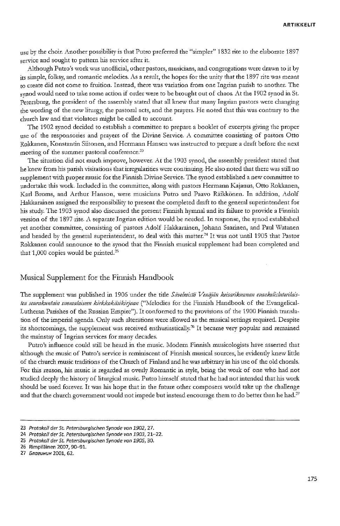use by the choir. Another possibility is that Putro preferred the "simpler" 1832 rite to the elaborate 1897 service and sought to pattern his service after it.

Although Putro's work was unofficial, other pastors, musicians, and congregations were drawn to it by its simple, folksy, and romantic melodies. As a result, the hopes for the unity that the 1897 rite was meant to create did not come to fruition. Instead, there was variation from one Ingrian parish to another. The synod would need to take some action if order were to be brought out of chaos. At the 1902 synod in St. Petersburg, the president of the assembly stated that all knew that many Ingrian pastors were changing the wording of the new liturgy, the pastoral acts, and the prayers. He noted that this was contrary to the church law and that violators might be called to account.

The 1902 synod decided to establish a committee to prepare a booklet of excerpts giving die proper use of die responsories and prayers of die Divine Service. A committee consisting of pastors Otto Rokkanen, Konstantin Siitonen, and Hermann Hansen was instructed to prepare a draft before die next meeting of the summer pastoral conference.<sup>[23](#page-10-0)</sup>

The situation did not much improve, however. At the 1903 synod, the assembly president stated that he knew from his parish visitations that irregularities were continuing. He also noted that there was still no supplement with proper music for the Finnish Divine Service. The synod established a new committee to undertake this work. Included in the committee, along with pastors Hermann Kajanus, Otto Rokkanen, Karl Broms, and Arthur Hanson, were musicians Putro and Paavo Räikkönen. In addition, Adolf Hakkarainen assigned the responsibility to present the completed draft to the general superintendent for his study. The 1903 synod also discussed the present Finnish hymnal and its failure to provide a Finnish version of the 1897 rite. A separate Ingrian edition would be needed. In response, the synod established yet another committee, consisting of pastors Adolf Hakkarainen, Johann Saarinen, and Paul Watanen and headed by the general superintendent, to deal with this matter.<sup>[24](#page-10-1)</sup> It was not until 1905 that Pastor Rokkanen could announce to the synod that the Finnish musical supplement had been completed and that  $1,000$  copies would be printed.<sup>[25](#page-10-2)</sup>

#### Musical Supplement for the Finnish Handbook

The supplement was published in 1906 under the title *Sävelmistö Venäjän keisarikunnan evankelisluterilaisten seurakuntain suomalaiseen kirkkokäsikirjaan* ("Melodies for the Finnish Handbook of the Evangelical-Lutheran Parishes of the Russian Empire"). It conformed to the provisions of the 1900 Finnish translation of the imperial agenda. Only such alterations were allowed as the musical settings required. Despite its shortcomings, the supplement was received enthusiastically.<sup>[26](#page-10-3)</sup> It became very popular and remained the mainstay of Ingrian services for many decades.

Putro's influence could still be heard in the music. Modern Finnish musicologists have asserted that although the music of Putro's service is reminiscent of Finnish musical sources, he evidently knew little of die church music traditions of the Church of Finland and hewas arbitrary in his use of die old chorals. For this reason, his music is regarded as overly Romantic in style, being the work of one who had not studied deeply the history of liturgical music. Putro himself stated that he had not intended that his work should be used forever. It was his hope that in the future other composers would take up the challenge and that the church government would not impede but instead encourage them to do better than he had.<sup>[27](#page-10-4)</sup>

<span id="page-10-0"></span><sup>23</sup> *Protokoll der St. Petersburgischen Synode von 1902, 27.*

<span id="page-10-1"></span><sup>24</sup> *Protokoll der St. Petersburgischen Synode von 1903,* 21-22.

<span id="page-10-2"></span><sup>25</sup> *Protokoll der St. Petersburgischen Synode von 1905,* 30.

<span id="page-10-3"></span><sup>26</sup> Rimpiläinen 2007, 90-91.

<span id="page-10-4"></span><sup>27</sup> *EnaeuHUH* 2001, 62.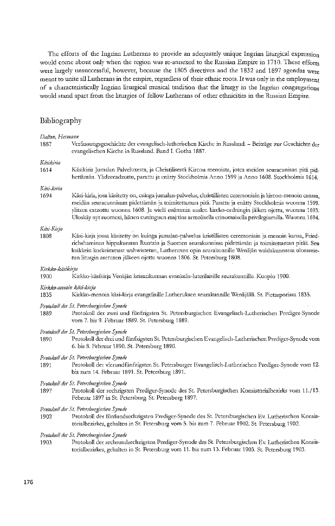The efforts of the Ingrian Lutherans to provide an adequately unique Ingrian liturgical expression would come about only when the region was re-annexed to the Russian Empire in 1710. These efforts were largely unsuccessful, however, because the 1805 directives and the 1832 and 1897 agendas were meant to unite all Lutherans in the empire, regardless of their ethnic roots. It was only in the employment of a characteristically Ingrian liturgical musical tradition diat the liturgy in die Ingrian congregations would stand apart from the liturgies of fellow Lutherans of other ethnicities in the Russian Empire.

# Bibliography

| Dalton, Hermann          |                                                                                                                                                                                                                                                                                                                                                                                                                                 |
|--------------------------|---------------------------------------------------------------------------------------------------------------------------------------------------------------------------------------------------------------------------------------------------------------------------------------------------------------------------------------------------------------------------------------------------------------------------------|
| 1887                     | Verfassungsgeschichte der evangelisch-lutherischen Kirche in Russland. - Beiträge zur Geschichte der<br>evangelischen Kirche in Russland. Band I. Gotha 1887.                                                                                                                                                                                                                                                                   |
| Käsikiria                |                                                                                                                                                                                                                                                                                                                                                                                                                                 |
| 1614                     | Käsikiria Jumalan Palveluxesta, ja Christilisestä Kircon menoista, jotca meiden seuracunisan pitä pid-<br>hettämän. Ylidzecadzottu, parattu ja enätty Stockholmis Anno 1599 ja Anno 1608. Stockholmis 1614.                                                                                                                                                                                                                     |
| Käsi-kiria               |                                                                                                                                                                                                                                                                                                                                                                                                                                 |
| 1694                     | Käsi-kiria, josa käsitetty on, cuinga jumalan-palwelus, christillisten ceremoniain ja kircon-menoin canssa.<br>meidän seuracunnisam pidettämän ja toimitettaman pitä. Parattu ja enätty Stockholmis wuonna 1599,<br>ylitzen catzottu wuonna 1608. Ja wielä enämmin uuden kircko-ordningin jälken ojettu, wuonna 1693.<br>Uloskäy nyt suomexi, hänen cuning:sen maj:tins armolisella erinomaisella privilegiumilla. Wuonna 1694, |
| Kasi-Kirja               |                                                                                                                                                                                                                                                                                                                                                                                                                                 |
| 1808                     | Käsi-kirja jossa käsitetty on kuinga jumalan-palwelus kristillisten ceremoniain ja menoin kansa, Fried-<br>richshaminan hippakunnan Ruotzin ja Suomen seurakunnissa pidettämän ja toimitettaman pitää. Sen<br>kaikkein korkeimmast wahwistetun, Lutheruxen opin seurakunnille Wenäjän waldakunnassa ulosanne-<br>tun liturgin asetuxen jälkeen ojettu wuonna 1806. St. Petersburg 1808.                                         |
| Kirkko-käsikirja         |                                                                                                                                                                                                                                                                                                                                                                                                                                 |
| 1900                     | Kirkko-käsikirja Venäjän keisarikunnan evankelis-luterilaisille seurakunnille. Kuopio 1900.                                                                                                                                                                                                                                                                                                                                     |
| Kirkko-menoin käsi-kirja |                                                                                                                                                                                                                                                                                                                                                                                                                                 |
| 1835                     | Kirkko-menoin käsi-kirja evangelisille Lutheruksen seurakunnille Wenäjällä. St. Pietarporissa 1835.                                                                                                                                                                                                                                                                                                                             |
| 1889                     | Protokoll der St. Petersburgischen Synode<br>Protokoll der zwei und fünfzigsten St. Petersburgischen Evangelisch-Lutherischen Prediger-Synode<br>vom 7. bis 9. Februar 1889. St. Petersburg 1889.                                                                                                                                                                                                                               |
| 1890                     | Protokoll der St. Petersburgischen Synode<br>Protokoll der drei und fünfzigsten St. Petersburgischen Evangelisch-Lutherischen Prediger-Synode vom<br>6. bis 8. Februar 1890. St. Petersburg 1890.                                                                                                                                                                                                                               |
| 1891                     | Protokoll der St. Petersburgischen Synode<br>Protokoll der vierundfünfzigsten St. Petersburger Evangelisch-Lutherischen Prediger-Synode vom 12.<br>bis zum 14. Februar 1891. St. Petersburg 1891.                                                                                                                                                                                                                               |
| 1897                     | Protokoll der St. Petersburgischen Synode<br>Protokoll der sechzigsten Prediger-Synode des St. Petersburgischen Konsistorialbezirks vom 11./13.<br>Februar 1897 in St. Petersburg. St. Petersburg 1897.                                                                                                                                                                                                                         |
| 1902                     | Protokoll der St. Petersburgischen Synode<br>Protokoll der fünfundsechzigsten Prediger-Synode des St. Petersburgischen Ev. Lutherischen Konsis-<br>torialbezirkes, gehalten in St. Petersburg vom 5. bis zum 7. Februar 1902. St. Petersburg 1902.                                                                                                                                                                              |
| 1903                     | Protokoll der St. Petersburgischen Synode<br>Protokoll der sechsundsechzigsten Prediger-Synode des St. Petersburgischen Ev. Lutherischen Konsis-<br>torialbezirkes, gehalten in St. Petersburg vom 11. bis zum 13. Februar 1903. St. Petersburg 1903.                                                                                                                                                                           |